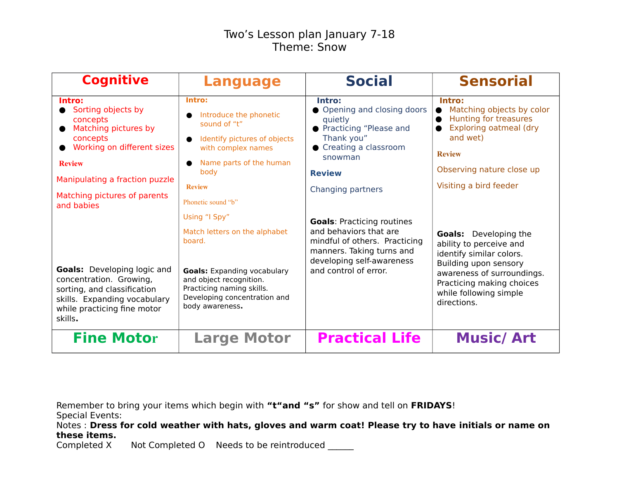## Two's Lesson plan January 7-18 Theme: Snow

| <b>Cognitive</b>                                                                                                                                                                                            | <b>Language</b>                                                                                                                                                                                           | <b>Social</b>                                                                                                                                                                   | <b>Sensorial</b>                                                                                                                                                                                                 |
|-------------------------------------------------------------------------------------------------------------------------------------------------------------------------------------------------------------|-----------------------------------------------------------------------------------------------------------------------------------------------------------------------------------------------------------|---------------------------------------------------------------------------------------------------------------------------------------------------------------------------------|------------------------------------------------------------------------------------------------------------------------------------------------------------------------------------------------------------------|
| Intro:<br>Sorting objects by<br>concepts<br>Matching pictures by<br>concepts<br>Working on different sizes<br><b>Review</b><br>Manipulating a fraction puzzle<br>Matching pictures of parents<br>and babies | Intro:<br>Introduce the phonetic<br>sound of "t"<br>Identify pictures of objects<br>with complex names<br>Name parts of the human<br>body<br><b>Review</b><br>Phonetic sound "b"                          | Intro:<br>• Opening and closing doors<br>quietly<br>● Practicing "Please and<br>Thank you"<br>● Creating a classroom<br>snowman<br><b>Review</b><br>Changing partners           | Intro:<br>Matching objects by color<br>Hunting for treasures<br>Exploring oatmeal (dry<br>and wet)<br><b>Review</b><br>Observing nature close up<br>Visiting a bird feeder                                       |
| <b>Goals:</b> Developing logic and<br>concentration. Growing,<br>sorting, and classification<br>skills. Expanding vocabulary<br>while practicing fine motor<br>skills.                                      | Using "I Spy"<br>Match letters on the alphabet<br>board.<br><b>Goals:</b> Expanding vocabulary<br>and object recognition.<br>Practicing naming skills.<br>Developing concentration and<br>body awareness. | <b>Goals: Practicing routines</b><br>and behaviors that are<br>mindful of others. Practicing<br>manners. Taking turns and<br>developing self-awareness<br>and control of error. | <b>Goals:</b> Developing the<br>ability to perceive and<br>identify similar colors.<br>Building upon sensory<br>awareness of surroundings.<br>Practicing making choices<br>while following simple<br>directions. |
| <b>Fine Motor</b>                                                                                                                                                                                           | <b>Large Motor</b>                                                                                                                                                                                        | <b>Practical Life</b>                                                                                                                                                           | <b>Music/Art</b>                                                                                                                                                                                                 |

Remember to bring your items which begin with **"t"and "s"** for show and tell on **FRIDAYS**! Special Events:

Notes : **Dress for cold weather with hats, gloves and warm coat! Please try to have initials or name on these items.**

Completed X Not Completed O Needs to be reintroduced